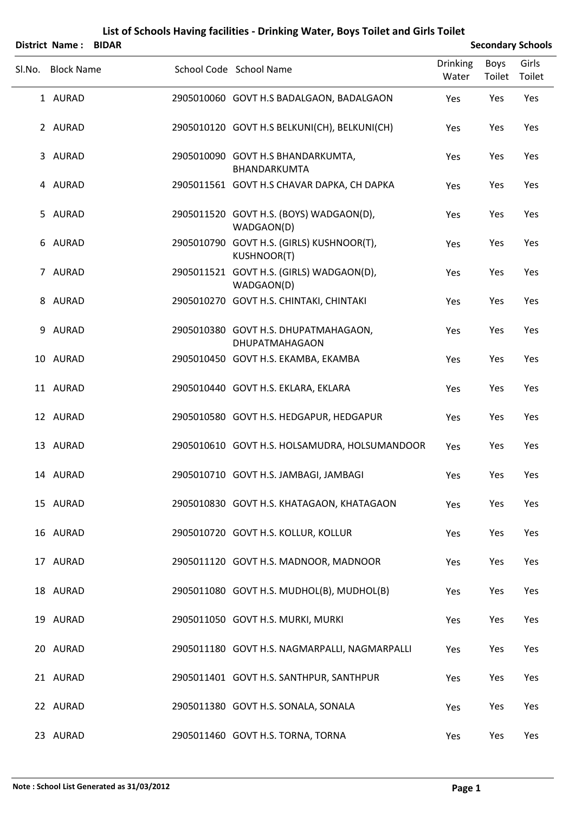|        | District Name:    | <b>BIDAR</b> |                                                                 |                          |                | <b>Secondary Schools</b> |
|--------|-------------------|--------------|-----------------------------------------------------------------|--------------------------|----------------|--------------------------|
| Sl.No. | <b>Block Name</b> |              | School Code School Name                                         | <b>Drinking</b><br>Water | Boys<br>Toilet | Girls<br>Toilet          |
|        | 1 AURAD           |              | 2905010060 GOVT H.S BADALGAON, BADALGAON                        | Yes                      | Yes            | Yes                      |
|        | 2 AURAD           |              | 2905010120 GOVT H.S BELKUNI(CH), BELKUNI(CH)                    | Yes                      | Yes            | Yes                      |
|        | 3 AURAD           |              | 2905010090 GOVT H.S BHANDARKUMTA,<br>BHANDARKUMTA               | Yes                      | Yes            | Yes                      |
|        | 4 AURAD           |              | 2905011561 GOVT H.S CHAVAR DAPKA, CH DAPKA                      | Yes                      | Yes            | Yes                      |
|        | 5 AURAD           |              | 2905011520 GOVT H.S. (BOYS) WADGAON(D),<br>WADGAON(D)           | Yes                      | Yes            | Yes                      |
|        | 6 AURAD           |              | 2905010790 GOVT H.S. (GIRLS) KUSHNOOR(T),<br><b>KUSHNOOR(T)</b> | Yes                      | Yes            | Yes                      |
|        | 7 AURAD           |              | 2905011521 GOVT H.S. (GIRLS) WADGAON(D),<br>WADGAON(D)          | Yes                      | Yes            | Yes                      |
|        | 8 AURAD           |              | 2905010270 GOVT H.S. CHINTAKI, CHINTAKI                         | Yes                      | Yes            | Yes                      |
|        | 9 AURAD           |              | 2905010380 GOVT H.S. DHUPATMAHAGAON,<br>DHUPATMAHAGAON          | Yes                      | Yes            | Yes                      |
|        | 10 AURAD          |              | 2905010450 GOVT H.S. EKAMBA, EKAMBA                             | Yes                      | Yes            | Yes                      |
|        | 11 AURAD          |              | 2905010440 GOVT H.S. EKLARA, EKLARA                             | Yes                      | Yes            | Yes                      |
|        | 12 AURAD          |              | 2905010580 GOVT H.S. HEDGAPUR, HEDGAPUR                         | Yes                      | Yes            | Yes                      |
|        | 13 AURAD          |              | 2905010610 GOVT H.S. HOLSAMUDRA, HOLSUMANDOOR                   | Yes                      | Yes            | Yes                      |
|        | 14 AURAD          |              | 2905010710 GOVT H.S. JAMBAGI, JAMBAGI                           | Yes                      | Yes            | Yes                      |
|        | 15 AURAD          |              | 2905010830 GOVT H.S. KHATAGAON, KHATAGAON                       | Yes                      | Yes            | Yes                      |
|        | 16 AURAD          |              | 2905010720 GOVT H.S. KOLLUR, KOLLUR                             | Yes                      | Yes            | Yes                      |
|        | 17 AURAD          |              | 2905011120 GOVT H.S. MADNOOR, MADNOOR                           | Yes                      | Yes            | Yes                      |
|        | 18 AURAD          |              | 2905011080 GOVT H.S. MUDHOL(B), MUDHOL(B)                       | Yes                      | Yes            | Yes                      |
|        | 19 AURAD          |              | 2905011050 GOVT H.S. MURKI, MURKI                               | Yes                      | Yes            | Yes                      |
|        | 20 AURAD          |              | 2905011180 GOVT H.S. NAGMARPALLI, NAGMARPALLI                   | Yes                      | Yes            | Yes                      |
|        | 21 AURAD          |              | 2905011401 GOVT H.S. SANTHPUR, SANTHPUR                         | Yes                      | Yes            | Yes                      |
|        | 22 AURAD          |              | 2905011380 GOVT H.S. SONALA, SONALA                             | Yes                      | Yes            | Yes                      |
|        | 23 AURAD          |              | 2905011460 GOVT H.S. TORNA, TORNA                               | Yes                      | Yes            | Yes                      |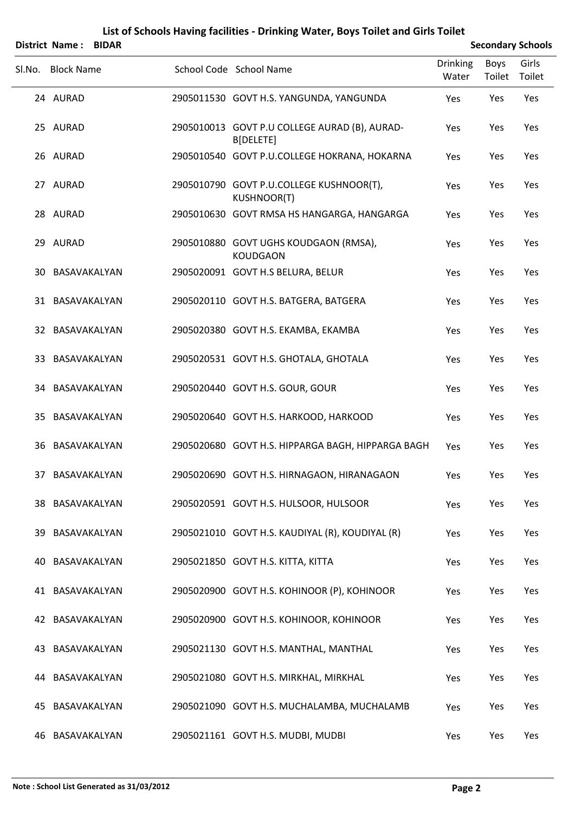|        |                       |              | List of Schools Having facilities - Drinking Water, Boys Toilet and Girls Toilet |                          |                |                          |
|--------|-----------------------|--------------|----------------------------------------------------------------------------------|--------------------------|----------------|--------------------------|
|        | <b>District Name:</b> | <b>BIDAR</b> |                                                                                  |                          |                | <b>Secondary Schools</b> |
| Sl.No. | <b>Block Name</b>     |              | School Code School Name                                                          | <b>Drinking</b><br>Water | Boys<br>Toilet | Girls<br>Toilet          |
|        | 24 AURAD              |              | 2905011530 GOVT H.S. YANGUNDA, YANGUNDA                                          | Yes                      | Yes            | Yes                      |
|        | 25 AURAD              |              | 2905010013 GOVT P.U COLLEGE AURAD (B), AURAD-<br>B[DELETE]                       | Yes                      | Yes            | Yes                      |
|        | 26 AURAD              |              | 2905010540 GOVT P.U.COLLEGE HOKRANA, HOKARNA                                     | Yes                      | Yes            | Yes                      |
|        | 27 AURAD              |              | 2905010790 GOVT P.U.COLLEGE KUSHNOOR(T),<br><b>KUSHNOOR(T)</b>                   | Yes                      | Yes            | Yes                      |
|        | 28 AURAD              |              | 2905010630 GOVT RMSA HS HANGARGA, HANGARGA                                       | Yes                      | Yes            | Yes                      |
|        | 29 AURAD              |              | 2905010880 GOVT UGHS KOUDGAON (RMSA),<br><b>KOUDGAON</b>                         | Yes                      | Yes            | Yes                      |
| 30-    | BASAVAKALYAN          |              | 2905020091 GOVT H.S BELURA, BELUR                                                | Yes                      | Yes            | Yes                      |
|        | 31 BASAVAKALYAN       |              | 2905020110 GOVT H.S. BATGERA, BATGERA                                            | Yes                      | Yes            | Yes                      |
|        | 32 BASAVAKALYAN       |              | 2905020380 GOVT H.S. EKAMBA, EKAMBA                                              | Yes                      | Yes            | Yes                      |
| 33.    | BASAVAKALYAN          |              | 2905020531 GOVT H.S. GHOTALA, GHOTALA                                            | Yes                      | Yes            | Yes                      |
| 34.    | BASAVAKALYAN          |              | 2905020440 GOVT H.S. GOUR, GOUR                                                  | Yes                      | Yes            | Yes                      |
| 35     | BASAVAKALYAN          |              | 2905020640 GOVT H.S. HARKOOD, HARKOOD                                            | Yes                      | Yes            | Yes                      |
| 36     | BASAVAKALYAN          |              | 2905020680 GOVT H.S. HIPPARGA BAGH, HIPPARGA BAGH                                | Yes                      | Yes            | Yes                      |
| 37     | BASAVAKALYAN          |              | 2905020690 GOVT H.S. HIRNAGAON, HIRANAGAON                                       | Yes                      | Yes            | Yes                      |
| 38     | BASAVAKALYAN          |              | 2905020591 GOVT H.S. HULSOOR, HULSOOR                                            | Yes                      | Yes            | Yes                      |
| 39.    | BASAVAKALYAN          |              | 2905021010 GOVT H.S. KAUDIYAL (R), KOUDIYAL (R)                                  | Yes                      | Yes            | Yes                      |
| 40.    | BASAVAKALYAN          |              | 2905021850 GOVT H.S. KITTA, KITTA                                                | Yes                      | Yes            | Yes                      |

43 BASAVAKALYAN 2905021130 GOVT H.S. MANTHAL, MANTHAL Yes Yes Yes Yes 44 BASAVAKALYAN 2905021080 GOVT H.S. MIRKHAL, MIRKHAL Yes Yes Yes Yes 45 BASAVAKALYAN 2905021090 GOVT H.S. MUCHALAMBA, MUCHALAMB Yes Yes Yes 46 BASAVAKALYAN 2905021161 GOVT H.S. MUDBI, MUDBI Yes Yes Yes Yes

41 BASAVAKALYAN 2905020900 GOVT H.S. KOHINOOR (P), KOHINOOR Yes Yes Yes

42 BASAVAKALYAN 2905020900 GOVT H.S. KOHINOOR, KOHINOOR Yes Yes Yes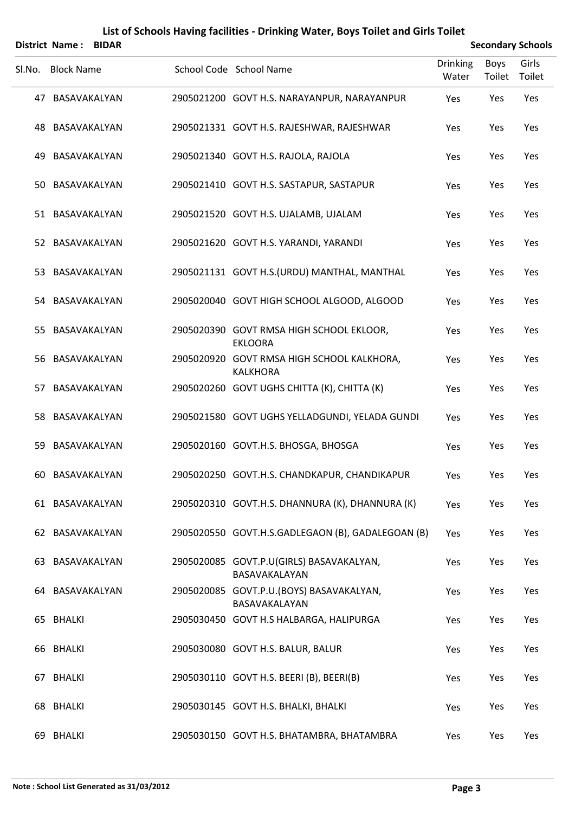|        | District Name:    | <b>BIDAR</b> |                                                               |                          | <b>Secondary Schools</b> |                 |
|--------|-------------------|--------------|---------------------------------------------------------------|--------------------------|--------------------------|-----------------|
| Sl.No. | <b>Block Name</b> |              | School Code School Name                                       | <b>Drinking</b><br>Water | <b>Boys</b><br>Toilet    | Girls<br>Toilet |
|        | 47 BASAVAKALYAN   |              | 2905021200 GOVT H.S. NARAYANPUR, NARAYANPUR                   | Yes                      | Yes                      | Yes             |
|        | 48 BASAVAKALYAN   |              | 2905021331 GOVT H.S. RAJESHWAR, RAJESHWAR                     | Yes                      | Yes                      | Yes             |
| 49.    | BASAVAKALYAN      |              | 2905021340 GOVT H.S. RAJOLA, RAJOLA                           | Yes                      | Yes                      | Yes             |
| 50     | BASAVAKALYAN      |              | 2905021410 GOVT H.S. SASTAPUR, SASTAPUR                       | Yes                      | Yes                      | Yes             |
|        | 51 BASAVAKALYAN   |              | 2905021520 GOVT H.S. UJALAMB, UJALAM                          | Yes                      | Yes                      | Yes             |
|        | 52 BASAVAKALYAN   |              | 2905021620 GOVT H.S. YARANDI, YARANDI                         | Yes                      | Yes                      | Yes             |
|        | 53 BASAVAKALYAN   |              | 2905021131 GOVT H.S. (URDU) MANTHAL, MANTHAL                  | Yes                      | Yes                      | Yes             |
|        | 54 BASAVAKALYAN   |              | 2905020040 GOVT HIGH SCHOOL ALGOOD, ALGOOD                    | Yes                      | Yes                      | Yes             |
|        | 55 BASAVAKALYAN   |              | 2905020390 GOVT RMSA HIGH SCHOOL EKLOOR,<br><b>EKLOORA</b>    | Yes                      | Yes                      | Yes             |
|        | 56 BASAVAKALYAN   |              | 2905020920 GOVT RMSA HIGH SCHOOL KALKHORA,<br><b>KALKHORA</b> | Yes                      | Yes                      | Yes             |
| 57.    | BASAVAKALYAN      |              | 2905020260 GOVT UGHS CHITTA (K), CHITTA (K)                   | Yes                      | Yes                      | Yes             |
|        | 58 BASAVAKALYAN   |              | 2905021580 GOVT UGHS YELLADGUNDI, YELADA GUNDI                | Yes                      | Yes                      | Yes             |
| 59     | BASAVAKALYAN      |              | 2905020160 GOVT.H.S. BHOSGA, BHOSGA                           | Yes                      | Yes                      | Yes             |
|        | 60 BASAVAKALYAN   |              | 2905020250 GOVT.H.S. CHANDKAPUR, CHANDIKAPUR                  | Yes                      | Yes                      | Yes             |
|        | 61 BASAVAKALYAN   |              | 2905020310 GOVT.H.S. DHANNURA (K), DHANNURA (K)               | Yes                      | Yes                      | Yes             |
|        | 62 BASAVAKALYAN   |              | 2905020550 GOVT.H.S.GADLEGAON (B), GADALEGOAN (B)             | Yes                      | Yes                      | Yes             |
|        | 63 BASAVAKALYAN   |              | 2905020085 GOVT.P.U(GIRLS) BASAVAKALYAN,<br>BASAVAKALAYAN     | Yes                      | Yes                      | Yes             |
|        | 64 BASAVAKALYAN   |              | 2905020085 GOVT.P.U.(BOYS) BASAVAKALYAN,<br>BASAVAKALAYAN     | Yes                      | Yes                      | Yes             |
|        | 65 BHALKI         |              | 2905030450 GOVT H.S HALBARGA, HALIPURGA                       | Yes                      | Yes                      | Yes             |
|        | 66 BHALKI         |              | 2905030080 GOVT H.S. BALUR, BALUR                             | Yes                      | Yes                      | Yes             |
|        | 67 BHALKI         |              | 2905030110 GOVT H.S. BEERI (B), BEERI(B)                      | Yes                      | Yes                      | Yes             |
|        | 68 BHALKI         |              | 2905030145 GOVT H.S. BHALKI, BHALKI                           | Yes                      | Yes                      | Yes             |
|        | 69 BHALKI         |              | 2905030150 GOVT H.S. BHATAMBRA, BHATAMBRA                     | Yes                      | Yes                      | Yes             |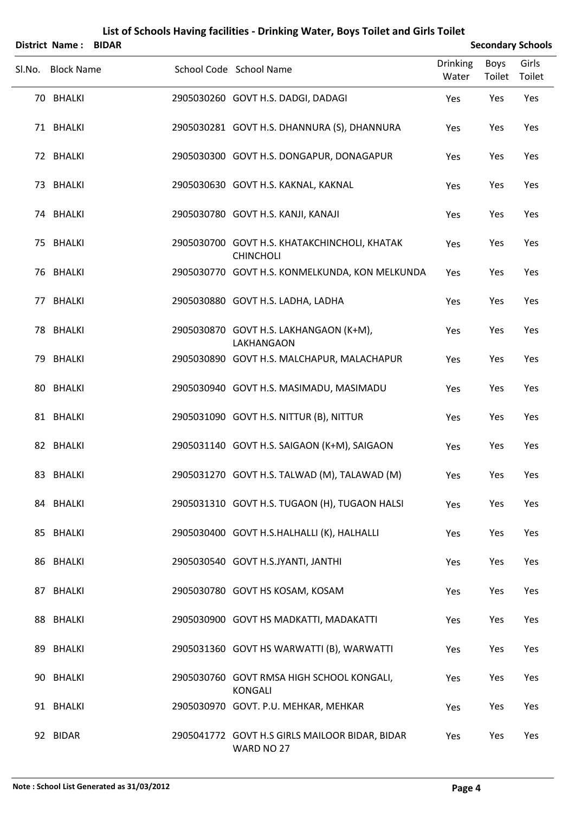| District Name:    | <b>BIDAR</b> | List of Schools Having facilities - Drinking Water, Boys Toilet and Girls Toilet |                          |                       | <b>Secondary Schools</b> |
|-------------------|--------------|----------------------------------------------------------------------------------|--------------------------|-----------------------|--------------------------|
| Sl.No. Block Name |              | School Code School Name                                                          | <b>Drinking</b><br>Water | <b>Boys</b><br>Toilet | Girls<br>Toilet          |
| 70 BHALKI         |              | 2905030260 GOVT H.S. DADGI, DADAGI                                               | Yes                      | Yes                   | Yes                      |
| 71 BHALKI         |              | 2905030281 GOVT H.S. DHANNURA (S), DHANNURA                                      | Yes                      | Yes                   | Yes                      |
| 72 BHALKI         |              | 2905030300 GOVT H.S. DONGAPUR, DONAGAPUR                                         | Yes                      | Yes                   | Yes                      |
| 73 BHALKI         |              | 2905030630 GOVT H.S. KAKNAL, KAKNAL                                              | Yes                      | Yes                   | Yes                      |
| 74 BHALKI         |              | 2905030780 GOVT H.S. KANJI, KANAJI                                               | Yes                      | Yes                   | Yes                      |
| 75 BHALKI         |              | 2905030700 GOVT H.S. KHATAKCHINCHOLI, KHATAK<br><b>CHINCHOLI</b>                 | Yes                      | Yes                   | Yes                      |
| 76 BHALKI         |              | 2905030770 GOVT H.S. KONMELKUNDA, KON MELKUNDA                                   | Yes                      | Yes                   | Yes                      |
| 77 BHALKI         |              | 2905030880 GOVT H.S. LADHA, LADHA                                                | Yes                      | Yes                   | Yes                      |
| 78 BHALKI         |              | 2905030870 GOVT H.S. LAKHANGAON (K+M),<br>LAKHANGAON                             | Yes                      | Yes                   | Yes                      |
| 79 BHALKI         |              | 2905030890 GOVT H.S. MALCHAPUR, MALACHAPUR                                       | Yes                      | Yes                   | Yes                      |
| 80 BHALKI         |              | 2905030940 GOVT H.S. MASIMADU, MASIMADU                                          | Yes                      | Yes                   | Yes                      |
| 81 BHALKI         |              | 2905031090 GOVT H.S. NITTUR (B), NITTUR                                          | Yes                      | Yes                   | Yes                      |
| 82 BHALKI         |              | 2905031140 GOVT H.S. SAIGAON (K+M), SAIGAON                                      | Yes                      | Yes                   | Yes                      |
| 83 BHALKI         |              | 2905031270 GOVT H.S. TALWAD (M), TALAWAD (M)                                     | Yes                      | Yes                   | Yes                      |
| 84 BHALKI         |              | 2905031310 GOVT H.S. TUGAON (H), TUGAON HALSI                                    | Yes                      | Yes                   | Yes                      |
| 85 BHALKI         |              | 2905030400 GOVT H.S.HALHALLI (K), HALHALLI                                       | Yes                      | Yes                   | Yes                      |
| 86 BHALKI         |              | 2905030540 GOVT H.S.JYANTI, JANTHI                                               | Yes                      | Yes                   | Yes                      |
| 87 BHALKI         |              | 2905030780 GOVT HS KOSAM, KOSAM                                                  | Yes                      | Yes                   | Yes                      |
| 88 BHALKI         |              | 2905030900 GOVT HS MADKATTI, MADAKATTI                                           | Yes                      | Yes                   | Yes                      |
| 89 BHALKI         |              | 2905031360 GOVT HS WARWATTI (B), WARWATTI                                        | Yes                      | Yes                   | Yes                      |
| 90 BHALKI         |              | 2905030760 GOVT RMSA HIGH SCHOOL KONGALI,<br><b>KONGALI</b>                      | Yes                      | Yes                   | Yes                      |
| 91 BHALKI         |              | 2905030970 GOVT. P.U. MEHKAR, MEHKAR                                             | Yes                      | Yes                   | Yes                      |
| 92 BIDAR          |              | 2905041772 GOVT H.S GIRLS MAILOOR BIDAR, BIDAR<br>WARD NO 27                     | Yes                      | Yes                   | Yes                      |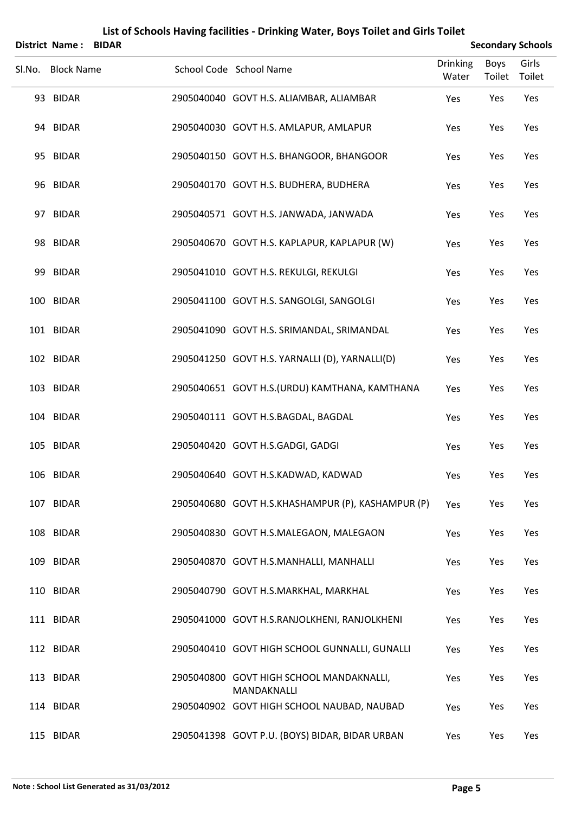|        | <b>District Name: BIDAR</b> |  |                                                         |                          |                | <b>Secondary Schools</b> |
|--------|-----------------------------|--|---------------------------------------------------------|--------------------------|----------------|--------------------------|
| SI.No. | <b>Block Name</b>           |  | School Code School Name                                 | <b>Drinking</b><br>Water | Boys<br>Toilet | Girls<br>Toilet          |
|        | 93 BIDAR                    |  | 2905040040 GOVT H.S. ALIAMBAR, ALIAMBAR                 | Yes                      | Yes            | Yes                      |
|        | 94 BIDAR                    |  | 2905040030 GOVT H.S. AMLAPUR, AMLAPUR                   | Yes                      | Yes            | Yes                      |
|        | 95 BIDAR                    |  | 2905040150 GOVT H.S. BHANGOOR, BHANGOOR                 | Yes                      | Yes            | Yes                      |
|        | 96 BIDAR                    |  | 2905040170 GOVT H.S. BUDHERA, BUDHERA                   | Yes                      | Yes            | Yes                      |
|        | 97 BIDAR                    |  | 2905040571 GOVT H.S. JANWADA, JANWADA                   | Yes                      | Yes            | Yes                      |
|        | 98 BIDAR                    |  | 2905040670 GOVT H.S. KAPLAPUR, KAPLAPUR (W)             | Yes                      | Yes            | Yes                      |
|        | 99 BIDAR                    |  | 2905041010 GOVT H.S. REKULGI, REKULGI                   | Yes                      | Yes            | Yes                      |
|        | 100 BIDAR                   |  | 2905041100 GOVT H.S. SANGOLGI, SANGOLGI                 | Yes                      | Yes            | Yes                      |
|        | 101 BIDAR                   |  | 2905041090 GOVT H.S. SRIMANDAL, SRIMANDAL               | Yes                      | Yes            | Yes                      |
|        | 102 BIDAR                   |  | 2905041250 GOVT H.S. YARNALLI (D), YARNALLI(D)          | Yes                      | Yes            | Yes                      |
|        | 103 BIDAR                   |  | 2905040651 GOVT H.S.(URDU) KAMTHANA, KAMTHANA           | Yes                      | Yes            | Yes                      |
|        | 104 BIDAR                   |  | 2905040111 GOVT H.S.BAGDAL, BAGDAL                      | Yes                      | Yes            | Yes                      |
|        | 105 BIDAR                   |  | 2905040420 GOVT H.S.GADGI, GADGI                        | Yes                      | Yes            | Yes                      |
|        | 106 BIDAR                   |  | 2905040640 GOVT H.S.KADWAD, KADWAD                      | Yes                      | Yes            | Yes                      |
|        | 107 BIDAR                   |  | 2905040680 GOVT H.S.KHASHAMPUR (P), KASHAMPUR (P)       | Yes                      | Yes            | Yes                      |
|        | 108 BIDAR                   |  | 2905040830 GOVT H.S.MALEGAON, MALEGAON                  | Yes                      | Yes            | Yes                      |
|        | 109 BIDAR                   |  | 2905040870 GOVT H.S.MANHALLI, MANHALLI                  | Yes                      | Yes            | Yes                      |
|        | 110 BIDAR                   |  | 2905040790 GOVT H.S.MARKHAL, MARKHAL                    | Yes                      | Yes            | Yes                      |
|        | 111 BIDAR                   |  | 2905041000 GOVT H.S.RANJOLKHENI, RANJOLKHENI            | Yes                      | Yes            | Yes                      |
|        | 112 BIDAR                   |  | 2905040410 GOVT HIGH SCHOOL GUNNALLI, GUNALLI           | Yes                      | Yes            | Yes                      |
|        | 113 BIDAR                   |  | 2905040800 GOVT HIGH SCHOOL MANDAKNALLI,<br>MANDAKNALLI | Yes                      | Yes            | Yes                      |
|        | 114 BIDAR                   |  | 2905040902 GOVT HIGH SCHOOL NAUBAD, NAUBAD              | Yes                      | Yes            | Yes                      |
|        | 115 BIDAR                   |  | 2905041398 GOVT P.U. (BOYS) BIDAR, BIDAR URBAN          | Yes                      | Yes            | Yes                      |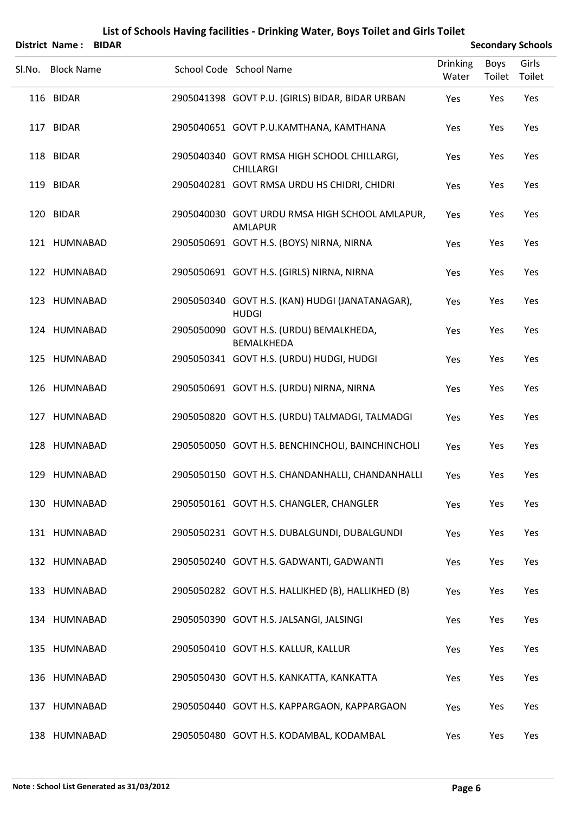|        | District Name:<br><b>BIDAR</b> |                                                                  |                          |                | <b>Secondary Schools</b> |
|--------|--------------------------------|------------------------------------------------------------------|--------------------------|----------------|--------------------------|
| SI.No. | <b>Block Name</b>              | School Code School Name                                          | <b>Drinking</b><br>Water | Boys<br>Toilet | Girls<br>Toilet          |
|        | 116 BIDAR                      | 2905041398 GOVT P.U. (GIRLS) BIDAR, BIDAR URBAN                  | Yes                      | Yes            | Yes                      |
|        | 117 BIDAR                      | 2905040651 GOVT P.U.KAMTHANA, KAMTHANA                           | Yes                      | Yes            | Yes                      |
|        | 118 BIDAR                      | 2905040340 GOVT RMSA HIGH SCHOOL CHILLARGI,<br><b>CHILLARGI</b>  | Yes                      | Yes            | Yes                      |
|        | 119 BIDAR                      | 2905040281 GOVT RMSA URDU HS CHIDRI, CHIDRI                      | Yes                      | Yes            | Yes                      |
|        | 120 BIDAR                      | 2905040030 GOVT URDU RMSA HIGH SCHOOL AMLAPUR,<br><b>AMLAPUR</b> | Yes                      | Yes            | Yes                      |
|        | 121 HUMNABAD                   | 2905050691 GOVT H.S. (BOYS) NIRNA, NIRNA                         | Yes                      | Yes            | Yes                      |
|        | 122 HUMNABAD                   | 2905050691 GOVT H.S. (GIRLS) NIRNA, NIRNA                        | Yes                      | Yes            | Yes                      |
|        | 123 HUMNABAD                   | 2905050340 GOVT H.S. (KAN) HUDGI (JANATANAGAR),<br><b>HUDGI</b>  | Yes                      | Yes            | Yes                      |
|        | 124 HUMNABAD                   | 2905050090 GOVT H.S. (URDU) BEMALKHEDA,<br><b>BEMALKHEDA</b>     | Yes                      | Yes            | Yes                      |
|        | 125 HUMNABAD                   | 2905050341 GOVT H.S. (URDU) HUDGI, HUDGI                         | Yes                      | Yes            | Yes                      |
|        | 126 HUMNABAD                   | 2905050691 GOVT H.S. (URDU) NIRNA, NIRNA                         | Yes                      | Yes            | Yes                      |
|        | 127 HUMNABAD                   | 2905050820 GOVT H.S. (URDU) TALMADGI, TALMADGI                   | Yes                      | Yes            | Yes                      |
|        | 128 HUMNABAD                   | 2905050050 GOVT H.S. BENCHINCHOLI, BAINCHINCHOLI                 | Yes                      | Yes            | Yes                      |
|        | 129 HUMNABAD                   | 2905050150 GOVT H.S. CHANDANHALLI, CHANDANHALLI                  | Yes                      | Yes            | Yes                      |
|        | 130 HUMNABAD                   | 2905050161 GOVT H.S. CHANGLER, CHANGLER                          | Yes                      | Yes            | Yes                      |
|        | 131 HUMNABAD                   | 2905050231 GOVT H.S. DUBALGUNDI, DUBALGUNDI                      | Yes                      | Yes            | Yes                      |
|        | 132 HUMNABAD                   | 2905050240 GOVT H.S. GADWANTI, GADWANTI                          | Yes                      | Yes            | Yes                      |
|        | 133 HUMNABAD                   | 2905050282 GOVT H.S. HALLIKHED (B), HALLIKHED (B)                | Yes                      | Yes            | Yes                      |
|        | 134 HUMNABAD                   | 2905050390 GOVT H.S. JALSANGI, JALSINGI                          | Yes                      | Yes            | Yes                      |
|        | 135 HUMNABAD                   | 2905050410 GOVT H.S. KALLUR, KALLUR                              | Yes                      | Yes            | Yes                      |
|        | 136 HUMNABAD                   | 2905050430 GOVT H.S. KANKATTA, KANKATTA                          | Yes                      | Yes            | Yes                      |
|        | 137 HUMNABAD                   | 2905050440 GOVT H.S. KAPPARGAON, KAPPARGAON                      | Yes                      | Yes            | Yes                      |
|        | 138 HUMNABAD                   | 2905050480 GOVT H.S. KODAMBAL, KODAMBAL                          | Yes                      | Yes            | Yes                      |